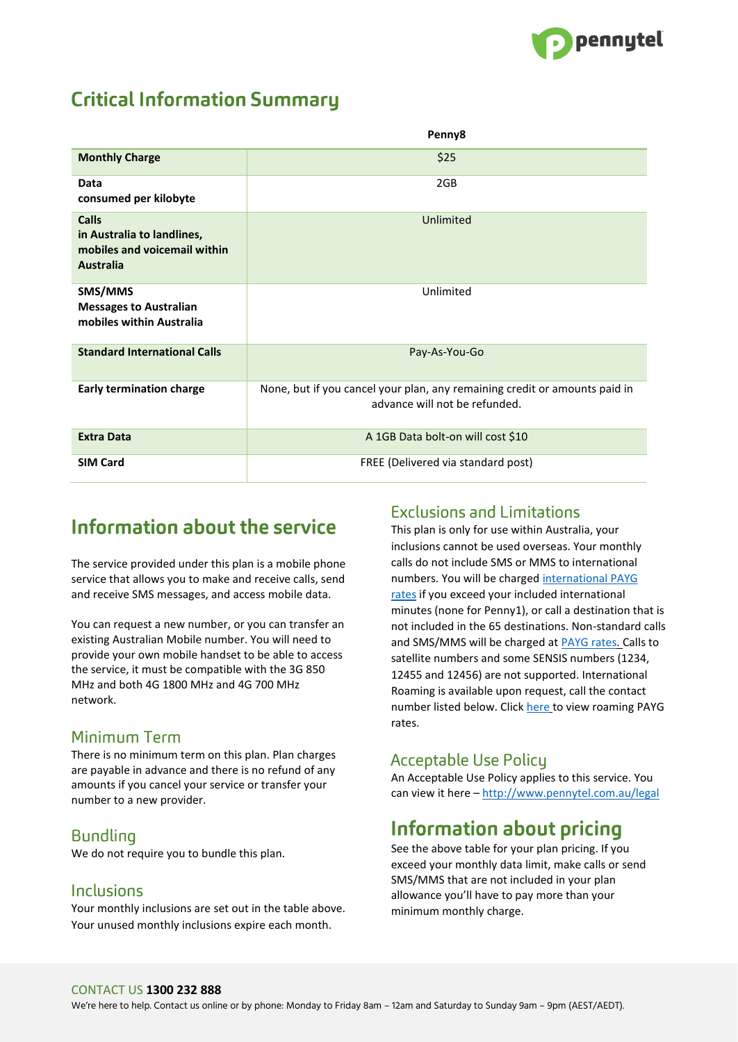

# **Critical Information Summary**

|                                                                                                | Penny8                                                                                                      |
|------------------------------------------------------------------------------------------------|-------------------------------------------------------------------------------------------------------------|
| <b>Monthly Charge</b>                                                                          | \$25                                                                                                        |
| Data<br>consumed per kilobyte                                                                  | 2GB                                                                                                         |
| <b>Calls</b><br>in Australia to landlines,<br>mobiles and voicemail within<br><b>Australia</b> | Unlimited                                                                                                   |
| SMS/MMS<br><b>Messages to Australian</b><br>mobiles within Australia                           | Unlimited                                                                                                   |
| <b>Standard International Calls</b>                                                            | Pay-As-You-Go                                                                                               |
| <b>Early termination charge</b>                                                                | None, but if you cancel your plan, any remaining credit or amounts paid in<br>advance will not be refunded. |
| <b>Extra Data</b>                                                                              | A 1GB Data bolt-on will cost \$10                                                                           |
| <b>SIM Card</b>                                                                                | FREE (Delivered via standard post)                                                                          |

# Information about the service

The service provided under this plan is a mobile phone service that allows you to make and receive calls, send and receive SMS messages, and access mobile data.

You can request a new number, or you can transfer an existing Australian Mobile number. You will need to provide your own mobile handset to be able to access the service, it must be compatible with the 3G 850 MHz and both 4G 1800 MHz and 4G 700 MHz network.

### Minimum Term

There is no minimum term on this plan. Plan charges are payable in advance and there is no refund of any amounts if you cancel your service or transfer your number to a new provider.

### Bundling

We do not require you to bundle this plan.

#### Inclusions

Your monthly inclusions are set out in the table above. Your unused monthly inclusions expire each month.

#### **Exclusions and Limitations**

This plan is only for use within Australia, your inclusions cannot be used overseas. Your monthly calls do not include SMS or MMS to international numbers. You will be charged [international PAYG](http://www.pennytel.com.au/mobile/international-calls) [rates](http://www.pennytel.com.au/mobile/international-calls) if you exceed your included international minutes (none for Penny1), or call a destination that is not included in the 65 destinations. Non-standard calls and SMS/MMS will be charged at [PAYG rates. C](http://www.pennytel.com.au/legal/standard-rates-fees)alls to satellite numbers and some SENSIS numbers (1234, 12455 and 12456) are not supported. International Roaming is available upon request, call the contact number listed below. Click [here](http://www.pennytel.com.au/mobile/roaming) to view roaming PAYG rates.

### **Acceptable Use Policy**

An Acceptable Use Policy applies to this service. You can view it here – <http://www.pennytel.com.au/legal>

## Information about pricing

See the above table for your plan pricing. If you exceed your monthly data limit, make calls or send SMS/MMS that are not included in your plan allowance you'll have to pay more than your minimum monthly charge.

#### CONTACT US **1300 232 888**

We're here to help. Contact us online or by phone: Monday to Friday 8am – 12am and Saturday to Sunday 9am – 9pm (AEST/AEDT).